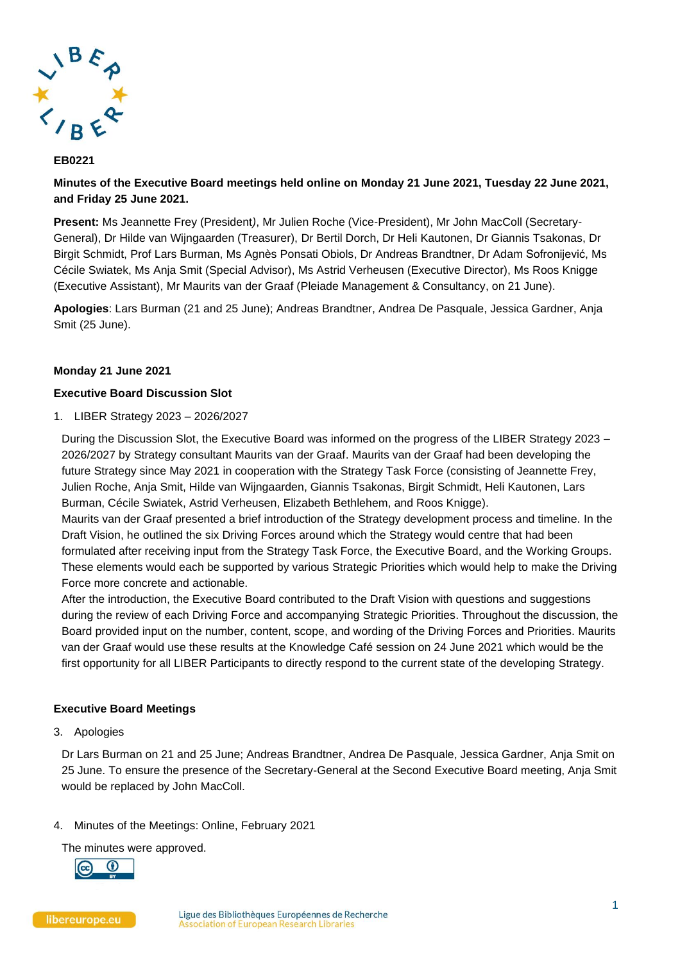

# **EB0221**

**Minutes of the Executive Board meetings held online on Monday 21 June 2021, Tuesday 22 June 2021, and Friday 25 June 2021.**

**Present:** Ms Jeannette Frey (President*)*, Mr Julien Roche (Vice-President), Mr John MacColl (Secretary-General), Dr Hilde van Wijngaarden (Treasurer), Dr Bertil Dorch, Dr Heli Kautonen, Dr Giannis Tsakonas, Dr Birgit Schmidt, Prof Lars Burman, Ms Agnès Ponsati Obiols, Dr Andreas Brandtner, Dr Adam Sofronijević, Ms Cécile Swiatek, Ms Anja Smit (Special Advisor), Ms Astrid Verheusen (Executive Director), Ms Roos Knigge (Executive Assistant), Mr Maurits van der Graaf (Pleiade Management & Consultancy, on 21 June).

**Apologies**: Lars Burman (21 and 25 June); Andreas Brandtner, Andrea De Pasquale, Jessica Gardner, Anja Smit (25 June).

# **Monday 21 June 2021**

### **Executive Board Discussion Slot**

1. LIBER Strategy 2023 – 2026/2027

During the Discussion Slot, the Executive Board was informed on the progress of the LIBER Strategy 2023 – 2026/2027 by Strategy consultant Maurits van der Graaf. Maurits van der Graaf had been developing the future Strategy since May 2021 in cooperation with the Strategy Task Force (consisting of Jeannette Frey, Julien Roche, Anja Smit, Hilde van Wijngaarden, Giannis Tsakonas, Birgit Schmidt, Heli Kautonen, Lars Burman, Cécile Swiatek, Astrid Verheusen, Elizabeth Bethlehem, and Roos Knigge).

Maurits van der Graaf presented a brief introduction of the Strategy development process and timeline. In the Draft Vision, he outlined the six Driving Forces around which the Strategy would centre that had been formulated after receiving input from the Strategy Task Force, the Executive Board, and the Working Groups. These elements would each be supported by various Strategic Priorities which would help to make the Driving Force more concrete and actionable.

After the introduction, the Executive Board contributed to the Draft Vision with questions and suggestions during the review of each Driving Force and accompanying Strategic Priorities. Throughout the discussion, the Board provided input on the number, content, scope, and wording of the Driving Forces and Priorities. Maurits van der Graaf would use these results at the Knowledge Café session on 24 June 2021 which would be the first opportunity for all LIBER Participants to directly respond to the current state of the developing Strategy.

### **Executive Board Meetings**

### 3. Apologies

Dr Lars Burman on 21 and 25 June; Andreas Brandtner, Andrea De Pasquale, Jessica Gardner, Anja Smit on 25 June. To ensure the presence of the Secretary-General at the Second Executive Board meeting, Anja Smit would be replaced by John MacColl.

### 4. Minutes of the Meetings: Online, February 2021

The minutes were approved.

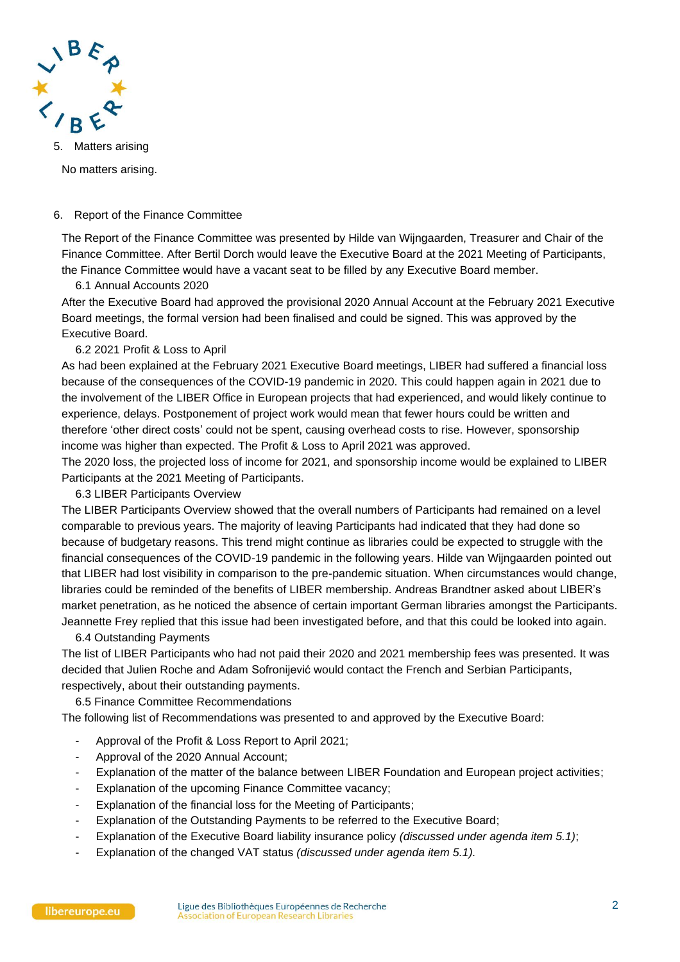

5. Matters arising

No matters arising.

## 6. Report of the Finance Committee

The Report of the Finance Committee was presented by Hilde van Wijngaarden, Treasurer and Chair of the Finance Committee. After Bertil Dorch would leave the Executive Board at the 2021 Meeting of Participants, the Finance Committee would have a vacant seat to be filled by any Executive Board member.

6.1 Annual Accounts 2020

After the Executive Board had approved the provisional 2020 Annual Account at the February 2021 Executive Board meetings, the formal version had been finalised and could be signed. This was approved by the Executive Board.

# 6.2 2021 Profit & Loss to April

As had been explained at the February 2021 Executive Board meetings, LIBER had suffered a financial loss because of the consequences of the COVID-19 pandemic in 2020. This could happen again in 2021 due to the involvement of the LIBER Office in European projects that had experienced, and would likely continue to experience, delays. Postponement of project work would mean that fewer hours could be written and therefore 'other direct costs' could not be spent, causing overhead costs to rise. However, sponsorship income was higher than expected. The Profit & Loss to April 2021 was approved.

The 2020 loss, the projected loss of income for 2021, and sponsorship income would be explained to LIBER Participants at the 2021 Meeting of Participants.

6.3 LIBER Participants Overview

The LIBER Participants Overview showed that the overall numbers of Participants had remained on a level comparable to previous years. The majority of leaving Participants had indicated that they had done so because of budgetary reasons. This trend might continue as libraries could be expected to struggle with the financial consequences of the COVID-19 pandemic in the following years. Hilde van Wijngaarden pointed out that LIBER had lost visibility in comparison to the pre-pandemic situation. When circumstances would change, libraries could be reminded of the benefits of LIBER membership. Andreas Brandtner asked about LIBER's market penetration, as he noticed the absence of certain important German libraries amongst the Participants. Jeannette Frey replied that this issue had been investigated before, and that this could be looked into again.

6.4 Outstanding Payments

The list of LIBER Participants who had not paid their 2020 and 2021 membership fees was presented. It was decided that Julien Roche and Adam Sofronijević would contact the French and Serbian Participants, respectively, about their outstanding payments.

6.5 Finance Committee Recommendations

The following list of Recommendations was presented to and approved by the Executive Board:

- Approval of the Profit & Loss Report to April 2021;
- Approval of the 2020 Annual Account;
- Explanation of the matter of the balance between LIBER Foundation and European project activities;
- Explanation of the upcoming Finance Committee vacancy:
- Explanation of the financial loss for the Meeting of Participants;
- Explanation of the Outstanding Payments to be referred to the Executive Board;
- Explanation of the Executive Board liability insurance policy *(discussed under agenda item 5.1)*;
- Explanation of the changed VAT status *(discussed under agenda item 5.1).*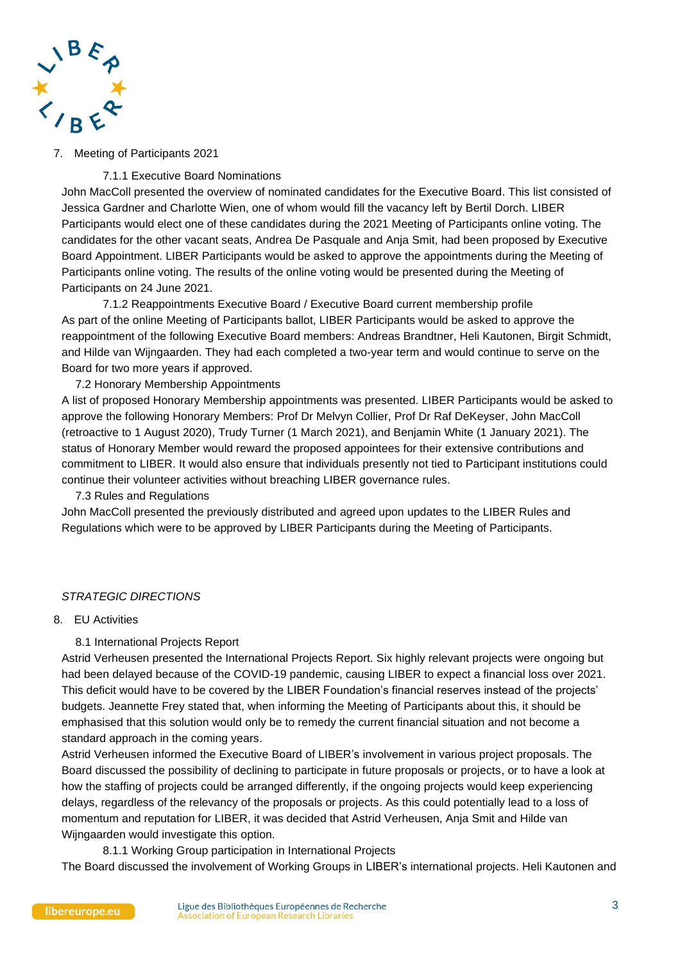

## 7. Meeting of Participants 2021

## 7.1.1 Executive Board Nominations

John MacColl presented the overview of nominated candidates for the Executive Board. This list consisted of Jessica Gardner and Charlotte Wien, one of whom would fill the vacancy left by Bertil Dorch. LIBER Participants would elect one of these candidates during the 2021 Meeting of Participants online voting. The candidates for the other vacant seats, Andrea De Pasquale and Anja Smit, had been proposed by Executive Board Appointment. LIBER Participants would be asked to approve the appointments during the Meeting of Participants online voting. The results of the online voting would be presented during the Meeting of Participants on 24 June 2021.

7.1.2 Reappointments Executive Board / Executive Board current membership profile As part of the online Meeting of Participants ballot, LIBER Participants would be asked to approve the reappointment of the following Executive Board members: Andreas Brandtner, Heli Kautonen, Birgit Schmidt, and Hilde van Wijngaarden. They had each completed a two-year term and would continue to serve on the Board for two more years if approved.

# 7.2 Honorary Membership Appointments

A list of proposed Honorary Membership appointments was presented. LIBER Participants would be asked to approve the following Honorary Members: Prof Dr Melvyn Collier, Prof Dr Raf DeKeyser, John MacColl (retroactive to 1 August 2020), Trudy Turner (1 March 2021), and Benjamin White (1 January 2021). The status of Honorary Member would reward the proposed appointees for their extensive contributions and commitment to LIBER. It would also ensure that individuals presently not tied to Participant institutions could continue their volunteer activities without breaching LIBER governance rules.

7.3 Rules and Regulations

John MacColl presented the previously distributed and agreed upon updates to the LIBER Rules and Regulations which were to be approved by LIBER Participants during the Meeting of Participants.

### *STRATEGIC DIRECTIONS*

# 8. EU Activities

### 8.1 International Projects Report

Astrid Verheusen presented the International Projects Report. Six highly relevant projects were ongoing but had been delayed because of the COVID-19 pandemic, causing LIBER to expect a financial loss over 2021. This deficit would have to be covered by the LIBER Foundation's financial reserves instead of the projects' budgets. Jeannette Frey stated that, when informing the Meeting of Participants about this, it should be emphasised that this solution would only be to remedy the current financial situation and not become a standard approach in the coming years.

Astrid Verheusen informed the Executive Board of LIBER's involvement in various project proposals. The Board discussed the possibility of declining to participate in future proposals or projects, or to have a look at how the staffing of projects could be arranged differently, if the ongoing projects would keep experiencing delays, regardless of the relevancy of the proposals or projects. As this could potentially lead to a loss of momentum and reputation for LIBER, it was decided that Astrid Verheusen, Anja Smit and Hilde van Wijngaarden would investigate this option.

8.1.1 Working Group participation in International Projects

The Board discussed the involvement of Working Groups in LIBER's international projects. Heli Kautonen and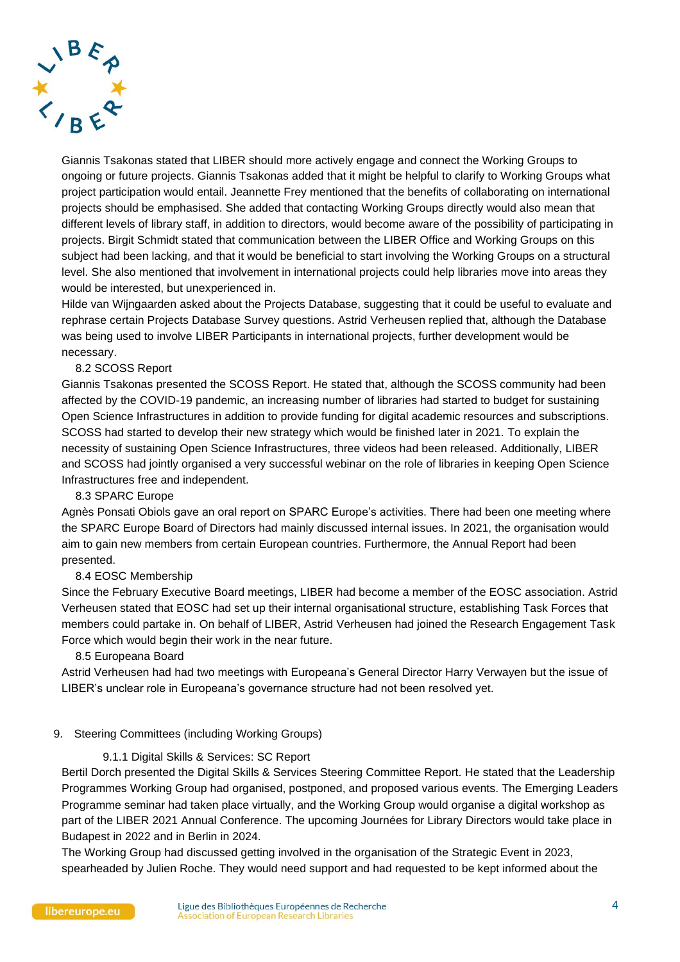

Giannis Tsakonas stated that LIBER should more actively engage and connect the Working Groups to ongoing or future projects. Giannis Tsakonas added that it might be helpful to clarify to Working Groups what project participation would entail. Jeannette Frey mentioned that the benefits of collaborating on international projects should be emphasised. She added that contacting Working Groups directly would also mean that different levels of library staff, in addition to directors, would become aware of the possibility of participating in projects. Birgit Schmidt stated that communication between the LIBER Office and Working Groups on this subject had been lacking, and that it would be beneficial to start involving the Working Groups on a structural level. She also mentioned that involvement in international projects could help libraries move into areas they would be interested, but unexperienced in.

Hilde van Wijngaarden asked about the Projects Database, suggesting that it could be useful to evaluate and rephrase certain Projects Database Survey questions. Astrid Verheusen replied that, although the Database was being used to involve LIBER Participants in international projects, further development would be necessary.

# 8.2 SCOSS Report

Giannis Tsakonas presented the SCOSS Report. He stated that, although the SCOSS community had been affected by the COVID-19 pandemic, an increasing number of libraries had started to budget for sustaining Open Science Infrastructures in addition to provide funding for digital academic resources and subscriptions. SCOSS had started to develop their new strategy which would be finished later in 2021. To explain the necessity of sustaining Open Science Infrastructures, three videos had been released. Additionally, LIBER and SCOSS had jointly organised a very successful webinar on the role of libraries in keeping Open Science Infrastructures free and independent.

8.3 SPARC Europe

Agnès Ponsati Obiols gave an oral report on SPARC Europe's activities. There had been one meeting where the SPARC Europe Board of Directors had mainly discussed internal issues. In 2021, the organisation would aim to gain new members from certain European countries. Furthermore, the Annual Report had been presented.

### 8.4 EOSC Membership

Since the February Executive Board meetings, LIBER had become a member of the EOSC association. Astrid Verheusen stated that EOSC had set up their internal organisational structure, establishing Task Forces that members could partake in. On behalf of LIBER, Astrid Verheusen had joined the Research Engagement Task Force which would begin their work in the near future.

#### 8.5 Europeana Board

Astrid Verheusen had had two meetings with Europeana's General Director Harry Verwayen but the issue of LIBER's unclear role in Europeana's governance structure had not been resolved yet.

### 9. Steering Committees (including Working Groups)

#### 9.1.1 Digital Skills & Services: SC Report

Bertil Dorch presented the Digital Skills & Services Steering Committee Report. He stated that the Leadership Programmes Working Group had organised, postponed, and proposed various events. The Emerging Leaders Programme seminar had taken place virtually, and the Working Group would organise a digital workshop as part of the LIBER 2021 Annual Conference. The upcoming Journées for Library Directors would take place in Budapest in 2022 and in Berlin in 2024.

The Working Group had discussed getting involved in the organisation of the Strategic Event in 2023, spearheaded by Julien Roche. They would need support and had requested to be kept informed about the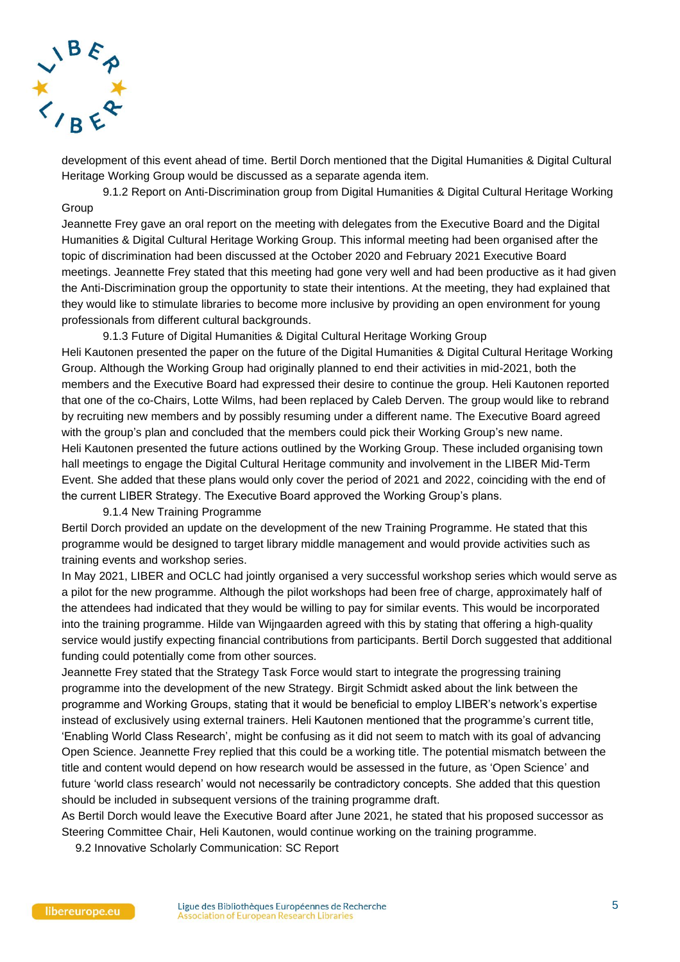

development of this event ahead of time. Bertil Dorch mentioned that the Digital Humanities & Digital Cultural Heritage Working Group would be discussed as a separate agenda item.

9.1.2 Report on Anti-Discrimination group from Digital Humanities & Digital Cultural Heritage Working **Group** 

Jeannette Frey gave an oral report on the meeting with delegates from the Executive Board and the Digital Humanities & Digital Cultural Heritage Working Group. This informal meeting had been organised after the topic of discrimination had been discussed at the October 2020 and February 2021 Executive Board meetings. Jeannette Frey stated that this meeting had gone very well and had been productive as it had given the Anti-Discrimination group the opportunity to state their intentions. At the meeting, they had explained that they would like to stimulate libraries to become more inclusive by providing an open environment for young professionals from different cultural backgrounds.

9.1.3 Future of Digital Humanities & Digital Cultural Heritage Working Group Heli Kautonen presented the paper on the future of the Digital Humanities & Digital Cultural Heritage Working Group. Although the Working Group had originally planned to end their activities in mid-2021, both the members and the Executive Board had expressed their desire to continue the group. Heli Kautonen reported that one of the co-Chairs, Lotte Wilms, had been replaced by Caleb Derven. The group would like to rebrand by recruiting new members and by possibly resuming under a different name. The Executive Board agreed with the group's plan and concluded that the members could pick their Working Group's new name. Heli Kautonen presented the future actions outlined by the Working Group. These included organising town hall meetings to engage the Digital Cultural Heritage community and involvement in the LIBER Mid-Term Event. She added that these plans would only cover the period of 2021 and 2022, coinciding with the end of the current LIBER Strategy. The Executive Board approved the Working Group's plans.

#### 9.1.4 New Training Programme

Bertil Dorch provided an update on the development of the new Training Programme. He stated that this programme would be designed to target library middle management and would provide activities such as training events and workshop series.

In May 2021, LIBER and OCLC had jointly organised a very successful workshop series which would serve as a pilot for the new programme. Although the pilot workshops had been free of charge, approximately half of the attendees had indicated that they would be willing to pay for similar events. This would be incorporated into the training programme. Hilde van Wijngaarden agreed with this by stating that offering a high-quality service would justify expecting financial contributions from participants. Bertil Dorch suggested that additional funding could potentially come from other sources.

Jeannette Frey stated that the Strategy Task Force would start to integrate the progressing training programme into the development of the new Strategy. Birgit Schmidt asked about the link between the programme and Working Groups, stating that it would be beneficial to employ LIBER's network's expertise instead of exclusively using external trainers. Heli Kautonen mentioned that the programme's current title, 'Enabling World Class Research', might be confusing as it did not seem to match with its goal of advancing Open Science. Jeannette Frey replied that this could be a working title. The potential mismatch between the title and content would depend on how research would be assessed in the future, as 'Open Science' and future 'world class research' would not necessarily be contradictory concepts. She added that this question should be included in subsequent versions of the training programme draft.

As Bertil Dorch would leave the Executive Board after June 2021, he stated that his proposed successor as Steering Committee Chair, Heli Kautonen, would continue working on the training programme.

9.2 Innovative Scholarly Communication: SC Report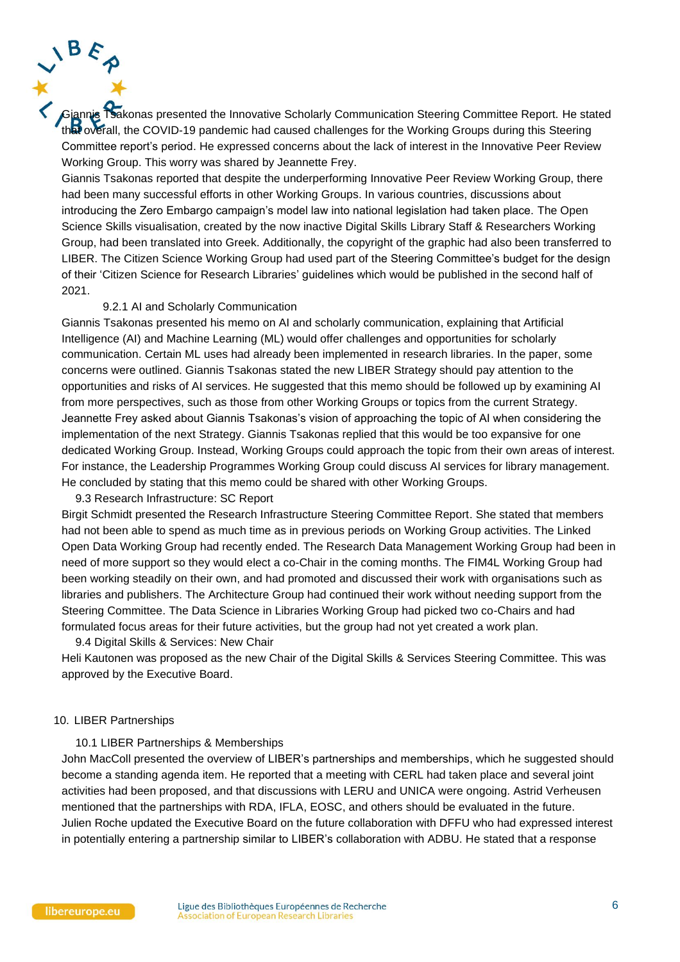Giannis Tsakonas presented the Innovative Scholarly Communication Steering Committee Report. He stated that overall, the COVID-19 pandemic had caused challenges for the Working Groups during this Steering Committee report's period. He expressed concerns about the lack of interest in the Innovative Peer Review Working Group. This worry was shared by Jeannette Frey.

Giannis Tsakonas reported that despite the underperforming Innovative Peer Review Working Group, there had been many successful efforts in other Working Groups. In various countries, discussions about introducing the Zero Embargo campaign's model law into national legislation had taken place. The Open Science Skills visualisation, created by the now inactive Digital Skills Library Staff & Researchers Working Group, had been translated into Greek. Additionally, the copyright of the graphic had also been transferred to LIBER. The Citizen Science Working Group had used part of the Steering Committee's budget for the design of their 'Citizen Science for Research Libraries' guidelines which would be published in the second half of 2021.

#### 9.2.1 AI and Scholarly Communication

Giannis Tsakonas presented his memo on AI and scholarly communication, explaining that Artificial Intelligence (AI) and Machine Learning (ML) would offer challenges and opportunities for scholarly communication. Certain ML uses had already been implemented in research libraries. In the paper, some concerns were outlined. Giannis Tsakonas stated the new LIBER Strategy should pay attention to the opportunities and risks of AI services. He suggested that this memo should be followed up by examining AI from more perspectives, such as those from other Working Groups or topics from the current Strategy. Jeannette Frey asked about Giannis Tsakonas's vision of approaching the topic of AI when considering the implementation of the next Strategy. Giannis Tsakonas replied that this would be too expansive for one dedicated Working Group. Instead, Working Groups could approach the topic from their own areas of interest. For instance, the Leadership Programmes Working Group could discuss AI services for library management. He concluded by stating that this memo could be shared with other Working Groups.

9.3 Research Infrastructure: SC Report

Birgit Schmidt presented the Research Infrastructure Steering Committee Report. She stated that members had not been able to spend as much time as in previous periods on Working Group activities. The Linked Open Data Working Group had recently ended. The Research Data Management Working Group had been in need of more support so they would elect a co-Chair in the coming months. The FIM4L Working Group had been working steadily on their own, and had promoted and discussed their work with organisations such as libraries and publishers. The Architecture Group had continued their work without needing support from the Steering Committee. The Data Science in Libraries Working Group had picked two co-Chairs and had formulated focus areas for their future activities, but the group had not yet created a work plan.

9.4 Digital Skills & Services: New Chair

Heli Kautonen was proposed as the new Chair of the Digital Skills & Services Steering Committee. This was approved by the Executive Board.

#### 10. LIBER Partnerships

#### 10.1 LIBER Partnerships & Memberships

John MacColl presented the overview of LIBER's partnerships and memberships, which he suggested should become a standing agenda item. He reported that a meeting with CERL had taken place and several joint activities had been proposed, and that discussions with LERU and UNICA were ongoing. Astrid Verheusen mentioned that the partnerships with RDA, IFLA, EOSC, and others should be evaluated in the future. Julien Roche updated the Executive Board on the future collaboration with DFFU who had expressed interest in potentially entering a partnership similar to LIBER's collaboration with ADBU. He stated that a response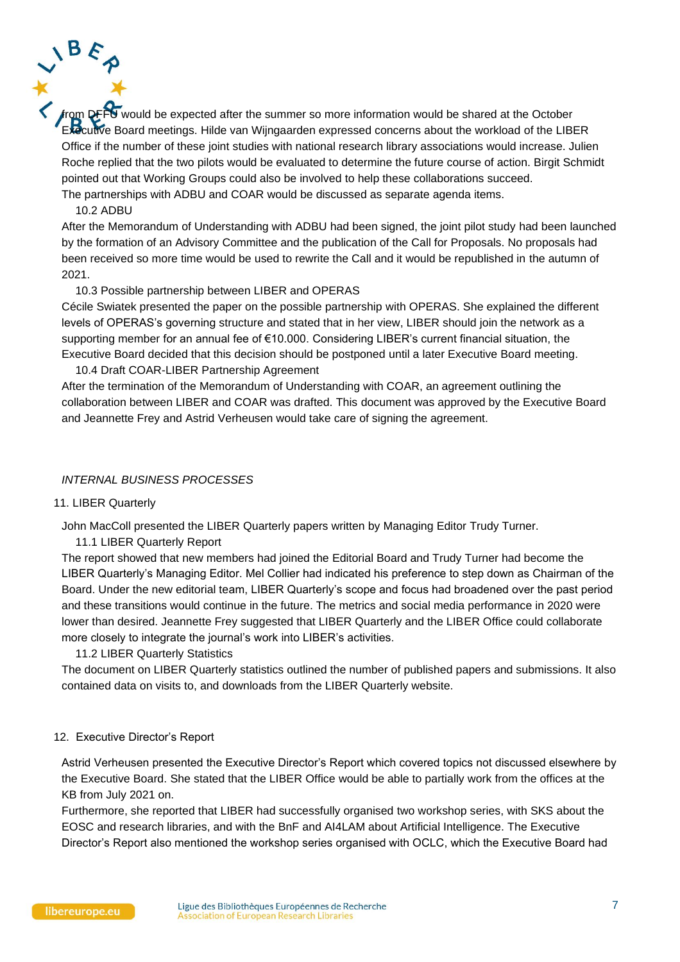$\overline{\mathbf{U}}$  would be expected after the summer so more information would be shared at the October Executive Board meetings. Hilde van Wijngaarden expressed concerns about the workload of the LIBER Office if the number of these joint studies with national research library associations would increase. Julien Roche replied that the two pilots would be evaluated to determine the future course of action. Birgit Schmidt pointed out that Working Groups could also be involved to help these collaborations succeed. The partnerships with ADBU and COAR would be discussed as separate agenda items.

#### 10.2 ADBU

After the Memorandum of Understanding with ADBU had been signed, the joint pilot study had been launched by the formation of an Advisory Committee and the publication of the Call for Proposals. No proposals had been received so more time would be used to rewrite the Call and it would be republished in the autumn of 2021.

### 10.3 Possible partnership between LIBER and OPERAS

Cécile Swiatek presented the paper on the possible partnership with OPERAS. She explained the different levels of OPERAS's governing structure and stated that in her view, LIBER should join the network as a supporting member for an annual fee of €10.000. Considering LIBER's current financial situation, the Executive Board decided that this decision should be postponed until a later Executive Board meeting.

10.4 Draft COAR-LIBER Partnership Agreement After the termination of the Memorandum of Understanding with COAR, an agreement outlining the collaboration between LIBER and COAR was drafted. This document was approved by the Executive Board and Jeannette Frey and Astrid Verheusen would take care of signing the agreement.

### *INTERNAL BUSINESS PROCESSES*

#### 11. LIBER Quarterly

John MacColl presented the LIBER Quarterly papers written by Managing Editor Trudy Turner.

11.1 LIBER Quarterly Report

The report showed that new members had joined the Editorial Board and Trudy Turner had become the LIBER Quarterly's Managing Editor. Mel Collier had indicated his preference to step down as Chairman of the Board. Under the new editorial team, LIBER Quarterly's scope and focus had broadened over the past period and these transitions would continue in the future. The metrics and social media performance in 2020 were lower than desired. Jeannette Frey suggested that LIBER Quarterly and the LIBER Office could collaborate more closely to integrate the journal's work into LIBER's activities.

11.2 LIBER Quarterly Statistics

The document on LIBER Quarterly statistics outlined the number of published papers and submissions. It also contained data on visits to, and downloads from the LIBER Quarterly website.

#### 12. Executive Director's Report

Astrid Verheusen presented the Executive Director's Report which covered topics not discussed elsewhere by the Executive Board. She stated that the LIBER Office would be able to partially work from the offices at the KB from July 2021 on.

Furthermore, she reported that LIBER had successfully organised two workshop series, with SKS about the EOSC and research libraries, and with the BnF and AI4LAM about Artificial Intelligence. The Executive Director's Report also mentioned the workshop series organised with OCLC, which the Executive Board had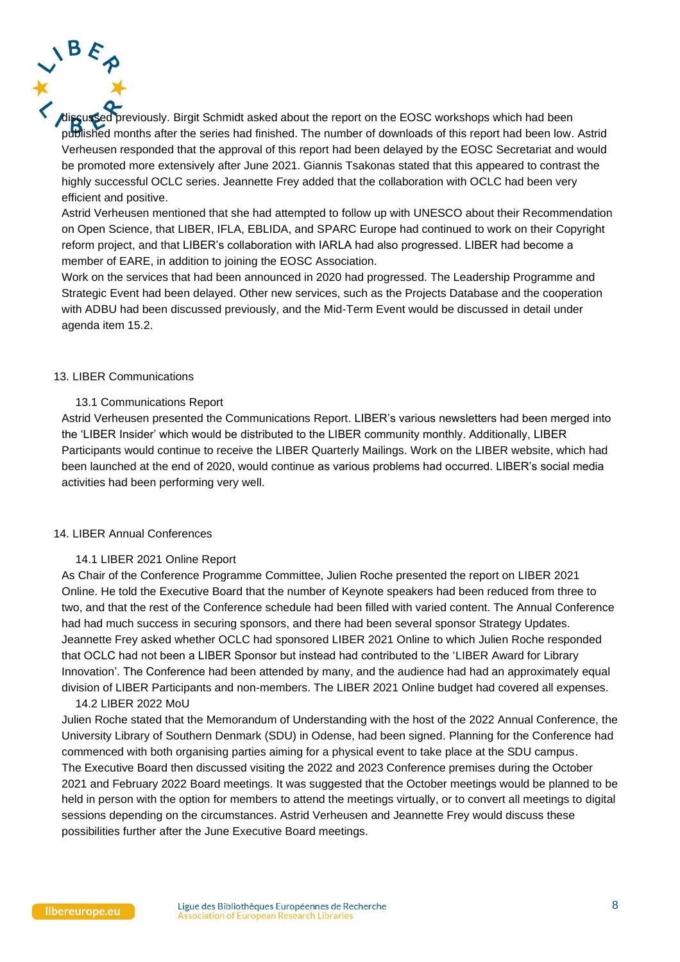previously. Birgit Schmidt asked about the report on the EOSC workshops which had been published months after the series had finished. The number of downloads of this report had been low. Astrid Verheusen responded that the approval of this report had been delayed by the EOSC Secretariat and would be promoted more extensively after June 2021. Giannis Tsakonas stated that this appeared to contrast the highly successful OCLC series. Jeannette Frey added that the collaboration with OCLC had been very efficient and positive.

Astrid Verheusen mentioned that she had attempted to follow up with UNESCO about their Recommendation on Open Science, that LIBER, IFLA, EBLIDA, and SPARC Europe had continued to work on their Copyright reform project, and that LIBER's collaboration with IARLA had also progressed. LIBER had become a member of EARE, in addition to joining the EOSC Association.

Work on the services that had been announced in 2020 had progressed. The Leadership Programme and Strategic Event had been delayed. Other new services, such as the Projects Database and the cooperation with ADBU had been discussed previously, and the Mid-Term Event would be discussed in detail under agenda item 15.2.

#### 13. LIBER Communications

#### 13.1 Communications Report

Astrid Verheusen presented the Communications Report. LIBER's various newsletters had been merged into the 'LIBER Insider' which would be distributed to the LIBER community monthly. Additionally, LIBER Participants would continue to receive the LIBER Quarterly Mailings. Work on the LIBER website, which had been launched at the end of 2020, would continue as various problems had occurred. LIBER's social media activities had been performing very well.

### 14. LIBER Annual Conferences

#### 14.1 LIBER 2021 Online Report

As Chair of the Conference Programme Committee, Julien Roche presented the report on LIBER 2021 Online. He told the Executive Board that the number of Keynote speakers had been reduced from three to two, and that the rest of the Conference schedule had been filled with varied content. The Annual Conference had had much success in securing sponsors, and there had been several sponsor Strategy Updates. Jeannette Frey asked whether OCLC had sponsored LIBER 2021 Online to which Julien Roche responded that OCLC had not been a LIBER Sponsor but instead had contributed to the 'LIBER Award for Library Innovation'. The Conference had been attended by many, and the audience had had an approximately equal division of LIBER Participants and non-members. The LIBER 2021 Online budget had covered all expenses.

#### 14.2 LIBER 2022 MoU

Julien Roche stated that the Memorandum of Understanding with the host of the 2022 Annual Conference, the University Library of Southern Denmark (SDU) in Odense, had been signed. Planning for the Conference had commenced with both organising parties aiming for a physical event to take place at the SDU campus. The Executive Board then discussed visiting the 2022 and 2023 Conference premises during the October 2021 and February 2022 Board meetings. It was suggested that the October meetings would be planned to be held in person with the option for members to attend the meetings virtually, or to convert all meetings to digital sessions depending on the circumstances. Astrid Verheusen and Jeannette Frey would discuss these possibilities further after the June Executive Board meetings.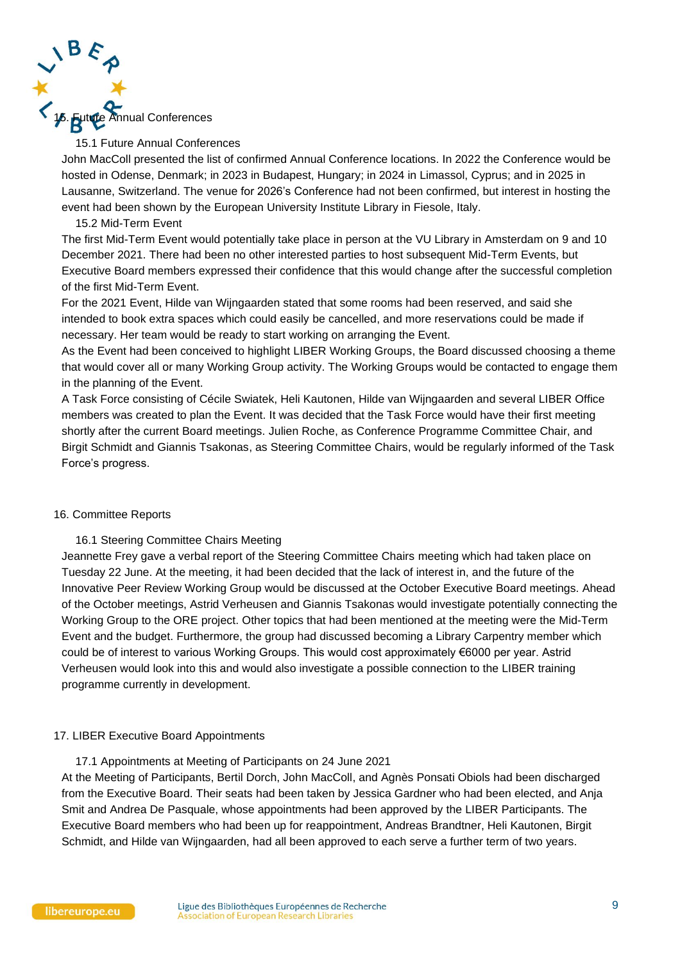

### 15.1 Future Annual Conferences

John MacColl presented the list of confirmed Annual Conference locations. In 2022 the Conference would be hosted in Odense, Denmark; in 2023 in Budapest, Hungary; in 2024 in Limassol, Cyprus; and in 2025 in Lausanne, Switzerland. The venue for 2026's Conference had not been confirmed, but interest in hosting the event had been shown by the European University Institute Library in Fiesole, Italy.

### 15.2 Mid-Term Event

The first Mid-Term Event would potentially take place in person at the VU Library in Amsterdam on 9 and 10 December 2021. There had been no other interested parties to host subsequent Mid-Term Events, but Executive Board members expressed their confidence that this would change after the successful completion of the first Mid-Term Event.

For the 2021 Event, Hilde van Wijngaarden stated that some rooms had been reserved, and said she intended to book extra spaces which could easily be cancelled, and more reservations could be made if necessary. Her team would be ready to start working on arranging the Event.

As the Event had been conceived to highlight LIBER Working Groups, the Board discussed choosing a theme that would cover all or many Working Group activity. The Working Groups would be contacted to engage them in the planning of the Event.

A Task Force consisting of Cécile Swiatek, Heli Kautonen, Hilde van Wijngaarden and several LIBER Office members was created to plan the Event. It was decided that the Task Force would have their first meeting shortly after the current Board meetings. Julien Roche, as Conference Programme Committee Chair, and Birgit Schmidt and Giannis Tsakonas, as Steering Committee Chairs, would be regularly informed of the Task Force's progress.

### 16. Committee Reports

### 16.1 Steering Committee Chairs Meeting

Jeannette Frey gave a verbal report of the Steering Committee Chairs meeting which had taken place on Tuesday 22 June. At the meeting, it had been decided that the lack of interest in, and the future of the Innovative Peer Review Working Group would be discussed at the October Executive Board meetings. Ahead of the October meetings, Astrid Verheusen and Giannis Tsakonas would investigate potentially connecting the Working Group to the ORE project. Other topics that had been mentioned at the meeting were the Mid-Term Event and the budget. Furthermore, the group had discussed becoming a Library Carpentry member which could be of interest to various Working Groups. This would cost approximately €6000 per year. Astrid Verheusen would look into this and would also investigate a possible connection to the LIBER training programme currently in development.

### 17. LIBER Executive Board Appointments

17.1 Appointments at Meeting of Participants on 24 June 2021

At the Meeting of Participants, Bertil Dorch, John MacColl, and Agnès Ponsati Obiols had been discharged from the Executive Board. Their seats had been taken by Jessica Gardner who had been elected, and Anja Smit and Andrea De Pasquale, whose appointments had been approved by the LIBER Participants. The Executive Board members who had been up for reappointment, Andreas Brandtner, Heli Kautonen, Birgit Schmidt, and Hilde van Wijngaarden, had all been approved to each serve a further term of two years.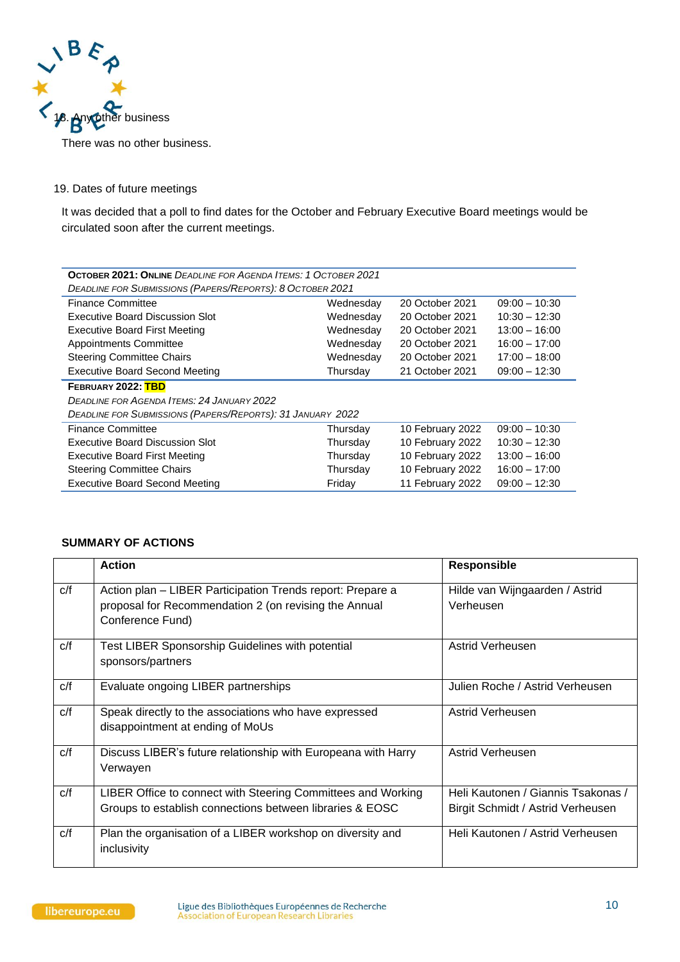

There was no other business.

# 19. Dates of future meetings

It was decided that a poll to find dates for the October and February Executive Board meetings would be circulated soon after the current meetings.

| <b>OCTOBER 2021: ONLINE</b> DEADLINE FOR AGENDA ITEMS: 1 OCTOBER 2021 |           |                  |                 |  |  |  |
|-----------------------------------------------------------------------|-----------|------------------|-----------------|--|--|--|
| <b>DEADLINE FOR SUBMISSIONS (PAPERS/REPORTS): 8 OCTOBER 2021</b>      |           |                  |                 |  |  |  |
| <b>Finance Committee</b>                                              | Wednesday | 20 October 2021  | $09:00 - 10:30$ |  |  |  |
| <b>Executive Board Discussion Slot</b>                                | Wednesday | 20 October 2021  | $10:30 - 12:30$ |  |  |  |
| <b>Executive Board First Meeting</b>                                  | Wednesday | 20 October 2021  | $13:00 - 16:00$ |  |  |  |
| <b>Appointments Committee</b>                                         | Wednesday | 20 October 2021  | $16:00 - 17:00$ |  |  |  |
| <b>Steering Committee Chairs</b>                                      | Wednesday | 20 October 2021  | $17:00 - 18:00$ |  |  |  |
| <b>Executive Board Second Meeting</b>                                 | Thursday  | 21 October 2021  | $09:00 - 12:30$ |  |  |  |
| FEBRUARY 2022: TBD                                                    |           |                  |                 |  |  |  |
| <b>DEADLINE FOR AGENDA ITEMS: 24 JANUARY 2022</b>                     |           |                  |                 |  |  |  |
| DEADLINE FOR SUBMISSIONS (PAPERS/REPORTS): 31 JANUARY 2022            |           |                  |                 |  |  |  |
| <b>Finance Committee</b>                                              | Thursday  | 10 February 2022 | $09:00 - 10:30$ |  |  |  |
| Executive Board Discussion Slot                                       | Thursday  | 10 February 2022 | $10:30 - 12:30$ |  |  |  |
| <b>Executive Board First Meeting</b>                                  | Thursday  | 10 February 2022 | $13:00 - 16:00$ |  |  |  |
| <b>Steering Committee Chairs</b>                                      | Thursday  | 10 February 2022 | $16:00 - 17:00$ |  |  |  |
| <b>Executive Board Second Meeting</b>                                 | Friday    | 11 February 2022 | $09:00 - 12:30$ |  |  |  |

### **SUMMARY OF ACTIONS**

|     | <b>Action</b>                                                                                                                           | <b>Responsible</b>                                                      |
|-----|-----------------------------------------------------------------------------------------------------------------------------------------|-------------------------------------------------------------------------|
| c/f | Action plan – LIBER Participation Trends report: Prepare a<br>proposal for Recommendation 2 (on revising the Annual<br>Conference Fund) | Hilde van Wijngaarden / Astrid<br>Verheusen                             |
| c/f | Test LIBER Sponsorship Guidelines with potential<br>sponsors/partners                                                                   | Astrid Verheusen                                                        |
| C/f | Evaluate ongoing LIBER partnerships                                                                                                     | Julien Roche / Astrid Verheusen                                         |
| C/f | Speak directly to the associations who have expressed<br>disappointment at ending of MoUs                                               | Astrid Verheusen                                                        |
| c/f | Discuss LIBER's future relationship with Europeana with Harry<br>Verwayen                                                               | Astrid Verheusen                                                        |
| c/f | LIBER Office to connect with Steering Committees and Working<br>Groups to establish connections between libraries & EOSC                | Heli Kautonen / Giannis Tsakonas /<br>Birgit Schmidt / Astrid Verheusen |
| C/f | Plan the organisation of a LIBER workshop on diversity and<br>inclusivity                                                               | Heli Kautonen / Astrid Verheusen                                        |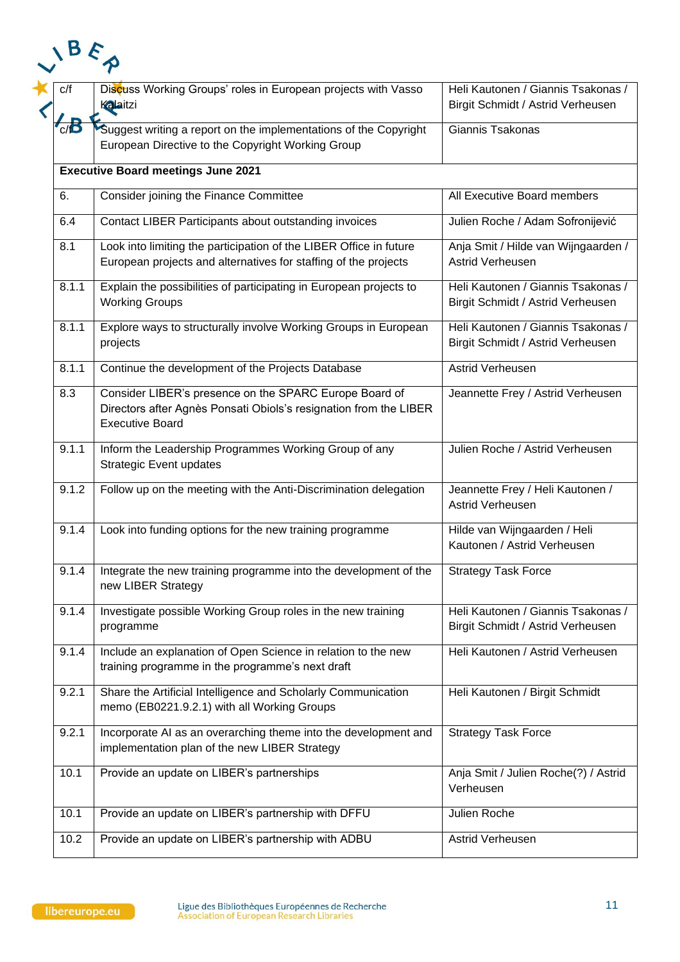| C/f   | Discuss Working Groups' roles in European projects with Vasso<br>Kalaitzi                                                                             | Heli Kautonen / Giannis Tsakonas /<br>Birgit Schmidt / Astrid Verheusen |
|-------|-------------------------------------------------------------------------------------------------------------------------------------------------------|-------------------------------------------------------------------------|
| c/D   | Suggest writing a report on the implementations of the Copyright<br>European Directive to the Copyright Working Group                                 | Giannis Tsakonas                                                        |
|       | <b>Executive Board meetings June 2021</b>                                                                                                             |                                                                         |
| 6.    | Consider joining the Finance Committee                                                                                                                | All Executive Board members                                             |
| 6.4   | Contact LIBER Participants about outstanding invoices                                                                                                 | Julien Roche / Adam Sofronijević                                        |
| 8.1   | Look into limiting the participation of the LIBER Office in future<br>European projects and alternatives for staffing of the projects                 | Anja Smit / Hilde van Wijngaarden /<br>Astrid Verheusen                 |
| 8.1.1 | Explain the possibilities of participating in European projects to<br><b>Working Groups</b>                                                           | Heli Kautonen / Giannis Tsakonas /<br>Birgit Schmidt / Astrid Verheusen |
| 8.1.1 | Explore ways to structurally involve Working Groups in European<br>projects                                                                           | Heli Kautonen / Giannis Tsakonas /<br>Birgit Schmidt / Astrid Verheusen |
| 8.1.1 | Continue the development of the Projects Database                                                                                                     | Astrid Verheusen                                                        |
| 8.3   | Consider LIBER's presence on the SPARC Europe Board of<br>Directors after Agnès Ponsati Obiols's resignation from the LIBER<br><b>Executive Board</b> | Jeannette Frey / Astrid Verheusen                                       |
| 9.1.1 | Inform the Leadership Programmes Working Group of any<br><b>Strategic Event updates</b>                                                               | Julien Roche / Astrid Verheusen                                         |
| 9.1.2 | Follow up on the meeting with the Anti-Discrimination delegation                                                                                      | Jeannette Frey / Heli Kautonen /<br>Astrid Verheusen                    |
| 9.1.4 | Look into funding options for the new training programme                                                                                              | Hilde van Wijngaarden / Heli<br>Kautonen / Astrid Verheusen             |
| 9.1.4 | Integrate the new training programme into the development of the<br>new LIBER Strategy                                                                | <b>Strategy Task Force</b>                                              |
| 9.1.4 | Investigate possible Working Group roles in the new training<br>programme                                                                             | Heli Kautonen / Giannis Tsakonas /<br>Birgit Schmidt / Astrid Verheusen |
| 9.1.4 | Include an explanation of Open Science in relation to the new<br>training programme in the programme's next draft                                     | Heli Kautonen / Astrid Verheusen                                        |
| 9.2.1 | Share the Artificial Intelligence and Scholarly Communication<br>memo (EB0221.9.2.1) with all Working Groups                                          | Heli Kautonen / Birgit Schmidt                                          |
| 9.2.1 | Incorporate AI as an overarching theme into the development and<br>implementation plan of the new LIBER Strategy                                      | <b>Strategy Task Force</b>                                              |
| 10.1  | Provide an update on LIBER's partnerships                                                                                                             | Anja Smit / Julien Roche(?) / Astrid<br>Verheusen                       |
| 10.1  | Provide an update on LIBER's partnership with DFFU                                                                                                    | Julien Roche                                                            |
|       |                                                                                                                                                       |                                                                         |